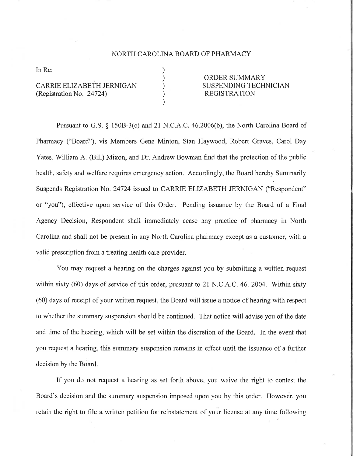## NORTH CAROLINA BOARD OF PHARMACY

) ) ) ) )

In Re:

CARRIE ELIZABETH JERNIGAN (Registration No. 24724)

ORDER SUMMARY SUSPENDING TECHNICIAN REGISTRATION

Pursuant to G.S. \$ 1508-3(c) and 2l N.C.A.C. 46.2006(b), the North Carolina Board of Pharmacy ("Board"), vis Members Gene Minton, Stan Haywood, Robert Graves, Carol Day Yates, William A. (Bill) Mixon, and Dr. Andrew Bowman find that the protection of the public health, safety and welfare requires emergency action. Accordingly, the Board hereby Sumrnarily Suspends Registration No. 24724 issued to CARRIE ELIZABETH JERNIGAN ("Respondent" or "you"), effective upon service of this Order. Pending issuance by the Board of a Final Agency Decision, Respondent shall immediately cease any practice of pharmacy in North Carolina and shall not be present in any North Carolina pharmacy except as a customer, with a valid prescription from a treating health care provider.

You may request a hearing on the charges against you by submitting a written request within sixty  $(60)$  days of service of this order, pursuant to 21 N.C.A.C. 46. 2004. Within sixty (60) days of receipt of your written request, the Board will issue a notice of hearing with respect to whether the summary suspension should be continued. That notice will advise you of the date and time of the hearing, which will be set within the discretion of the Board. In the event that you request a hearing, this summary suspension remains in effect until the issuance of a further decision by the Board.

If you do not request a hearing as set forth above, you waive the right to contest the Board's decision and the summary suspension imposed upon you by this order. However, you retain the right to file a written petition for reinstatement of your license at any time following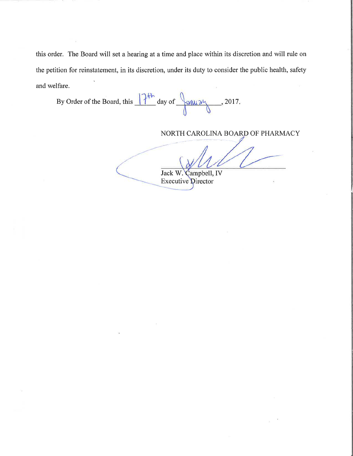this order. The Board will set a hearing at a time and place within its discretion and will rule on the petition for reinstatement, in its discretion, under its duty to consider the public health, safety and welfare

By Order of the Board, this  $\frac{124}{8}$  day of  $\frac{124}{8}$  2017.

NORTH CAROLINA BOARD OF PHARMACY

Jack V/. **Executive Director** Campbell, IV